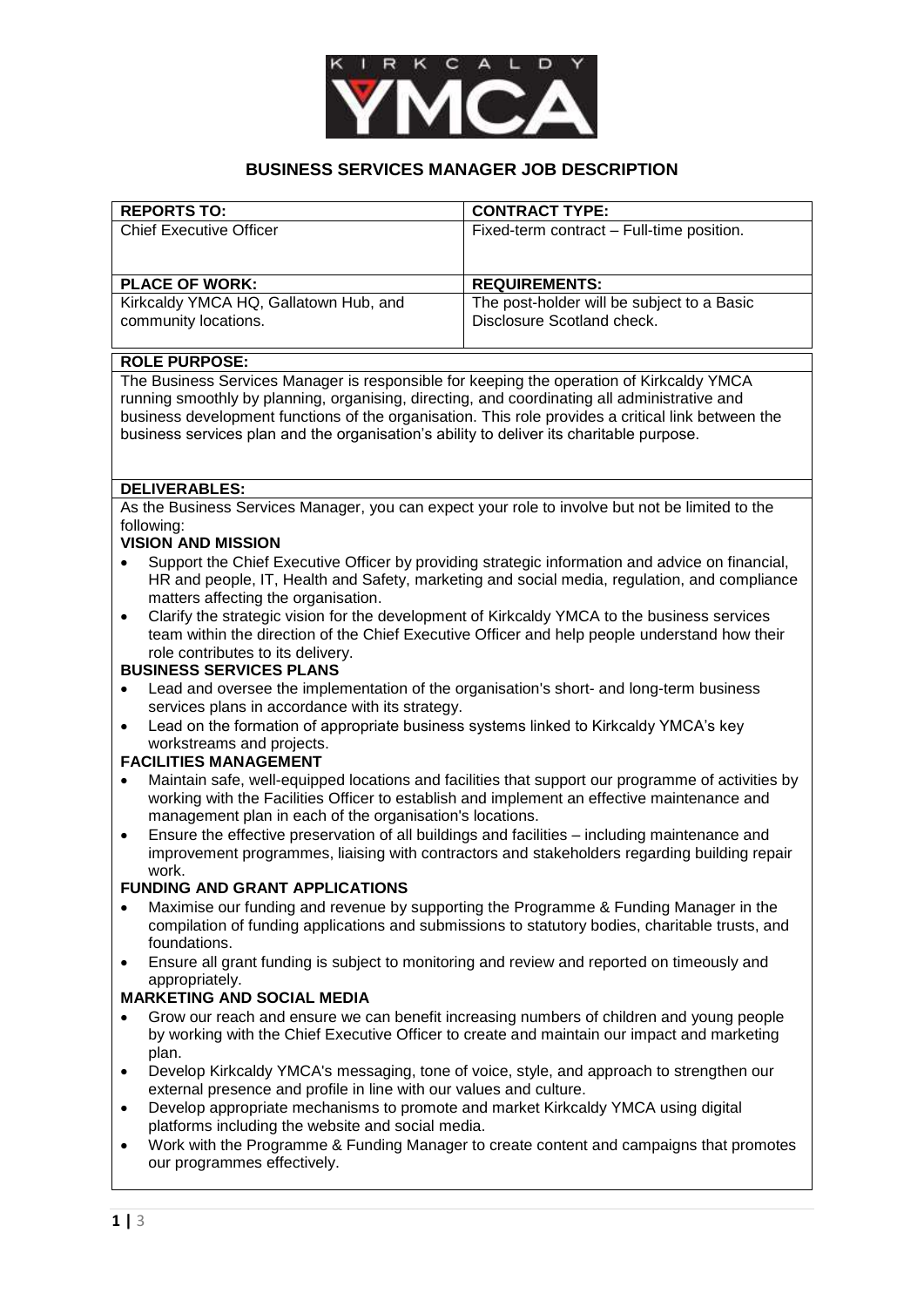

# **BUSINESS SERVICES MANAGER JOB DESCRIPTION**

| <b>REPORTS TO:</b>                    | <b>CONTRACT TYPE:</b>                      |
|---------------------------------------|--------------------------------------------|
| <b>Chief Executive Officer</b>        | Fixed-term contract - Full-time position.  |
|                                       |                                            |
|                                       |                                            |
| <b>PLACE OF WORK:</b>                 | <b>REQUIREMENTS:</b>                       |
| Kirkcaldy YMCA HQ, Gallatown Hub, and | The post-holder will be subject to a Basic |
| community locations.                  | Disclosure Scotland check.                 |
|                                       |                                            |

#### **ROLE PURPOSE:**

The Business Services Manager is responsible for keeping the operation of Kirkcaldy YMCA running smoothly by planning, organising, directing, and coordinating all administrative and business development functions of the organisation. This role provides a critical link between the business services plan and the organisation's ability to deliver its charitable purpose.

### **DELIVERABLES:**

As the Business Services Manager, you can expect your role to involve but not be limited to the following:

## **VISION AND MISSION**

- Support the Chief Executive Officer by providing strategic information and advice on financial, HR and people, IT, Health and Safety, marketing and social media, regulation, and compliance matters affecting the organisation.
- Clarify the strategic vision for the development of Kirkcaldy YMCA to the business services team within the direction of the Chief Executive Officer and help people understand how their role contributes to its delivery.

## **BUSINESS SERVICES PLANS**

- Lead and oversee the implementation of the organisation's short- and long-term business services plans in accordance with its strategy.
- Lead on the formation of appropriate business systems linked to Kirkcaldy YMCA's key workstreams and projects.

#### **FACILITIES MANAGEMENT**

- Maintain safe, well-equipped locations and facilities that support our programme of activities by working with the Facilities Officer to establish and implement an effective maintenance and management plan in each of the organisation's locations.
- Ensure the effective preservation of all buildings and facilities including maintenance and improvement programmes, liaising with contractors and stakeholders regarding building repair work.

#### **FUNDING AND GRANT APPLICATIONS**

- Maximise our funding and revenue by supporting the Programme & Funding Manager in the compilation of funding applications and submissions to statutory bodies, charitable trusts, and foundations.
- Ensure all grant funding is subject to monitoring and review and reported on timeously and appropriately.

## **MARKETING AND SOCIAL MEDIA**

- Grow our reach and ensure we can benefit increasing numbers of children and young people by working with the Chief Executive Officer to create and maintain our impact and marketing plan.
- Develop Kirkcaldy YMCA's messaging, tone of voice, style, and approach to strengthen our external presence and profile in line with our values and culture.
- Develop appropriate mechanisms to promote and market Kirkcaldy YMCA using digital platforms including the website and social media.
- Work with the Programme & Funding Manager to create content and campaigns that promotes our programmes effectively.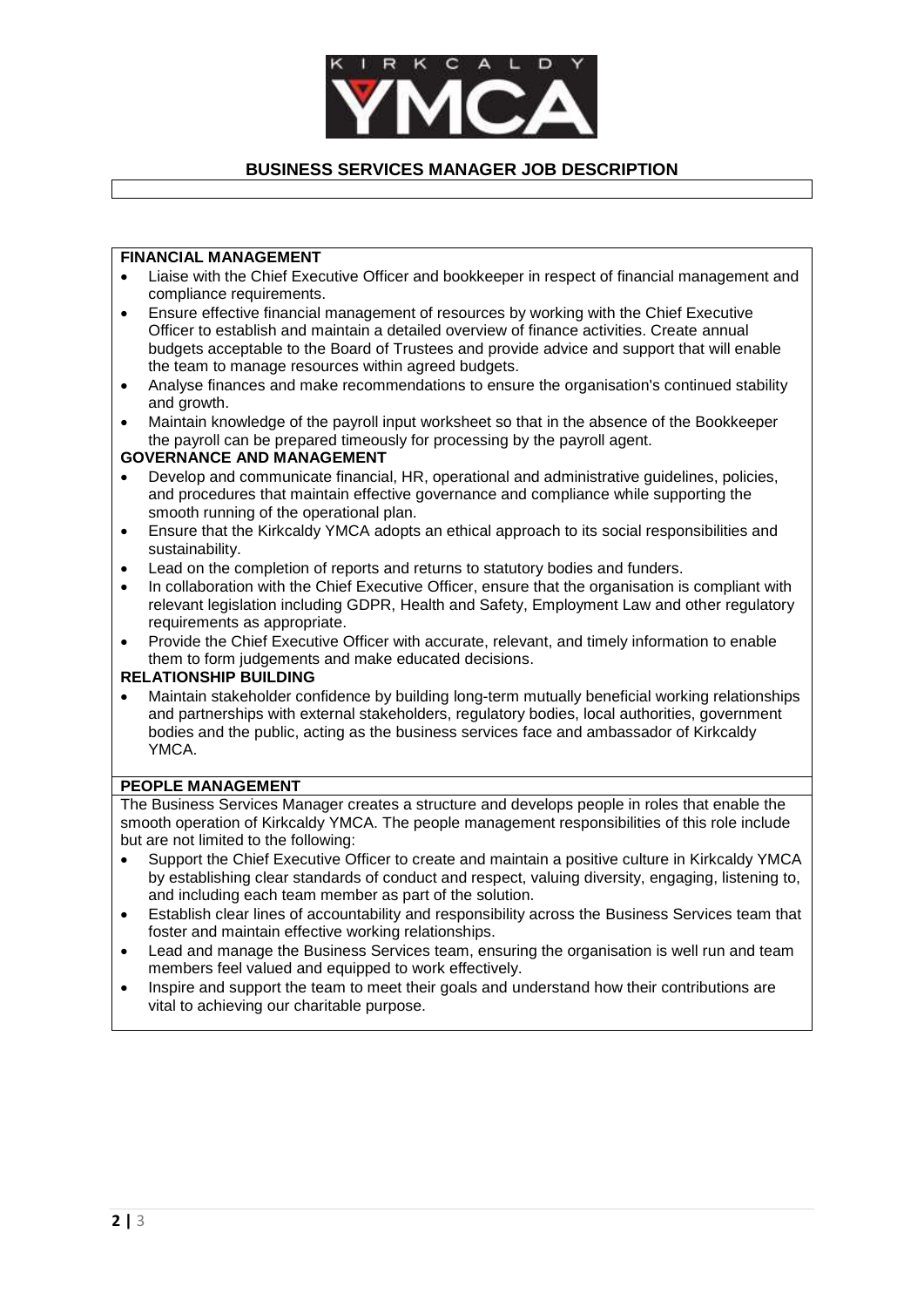

# **BUSINESS SERVICES MANAGER JOB DESCRIPTION**

### **FINANCIAL MANAGEMENT**

- Liaise with the Chief Executive Officer and bookkeeper in respect of financial management and compliance requirements.
- Ensure effective financial management of resources by working with the Chief Executive Officer to establish and maintain a detailed overview of finance activities. Create annual budgets acceptable to the Board of Trustees and provide advice and support that will enable the team to manage resources within agreed budgets.
- Analyse finances and make recommendations to ensure the organisation's continued stability and growth.
- Maintain knowledge of the payroll input worksheet so that in the absence of the Bookkeeper the payroll can be prepared timeously for processing by the payroll agent.

### **GOVERNANCE AND MANAGEMENT**

- Develop and communicate financial, HR, operational and administrative guidelines, policies, and procedures that maintain effective governance and compliance while supporting the smooth running of the operational plan.
- Ensure that the Kirkcaldy YMCA adopts an ethical approach to its social responsibilities and sustainability.
- Lead on the completion of reports and returns to statutory bodies and funders.
- In collaboration with the Chief Executive Officer, ensure that the organisation is compliant with relevant legislation including GDPR, Health and Safety, Employment Law and other regulatory requirements as appropriate.
- Provide the Chief Executive Officer with accurate, relevant, and timely information to enable them to form judgements and make educated decisions.

## **RELATIONSHIP BUILDING**

 Maintain stakeholder confidence by building long-term mutually beneficial working relationships and partnerships with external stakeholders, regulatory bodies, local authorities, government bodies and the public, acting as the business services face and ambassador of Kirkcaldy YMCA.

## **PEOPLE MANAGEMENT**

The Business Services Manager creates a structure and develops people in roles that enable the smooth operation of Kirkcaldy YMCA. The people management responsibilities of this role include but are not limited to the following:

- Support the Chief Executive Officer to create and maintain a positive culture in Kirkcaldy YMCA by establishing clear standards of conduct and respect, valuing diversity, engaging, listening to, and including each team member as part of the solution.
- Establish clear lines of accountability and responsibility across the Business Services team that foster and maintain effective working relationships.
- Lead and manage the Business Services team, ensuring the organisation is well run and team members feel valued and equipped to work effectively.
- Inspire and support the team to meet their goals and understand how their contributions are vital to achieving our charitable purpose.